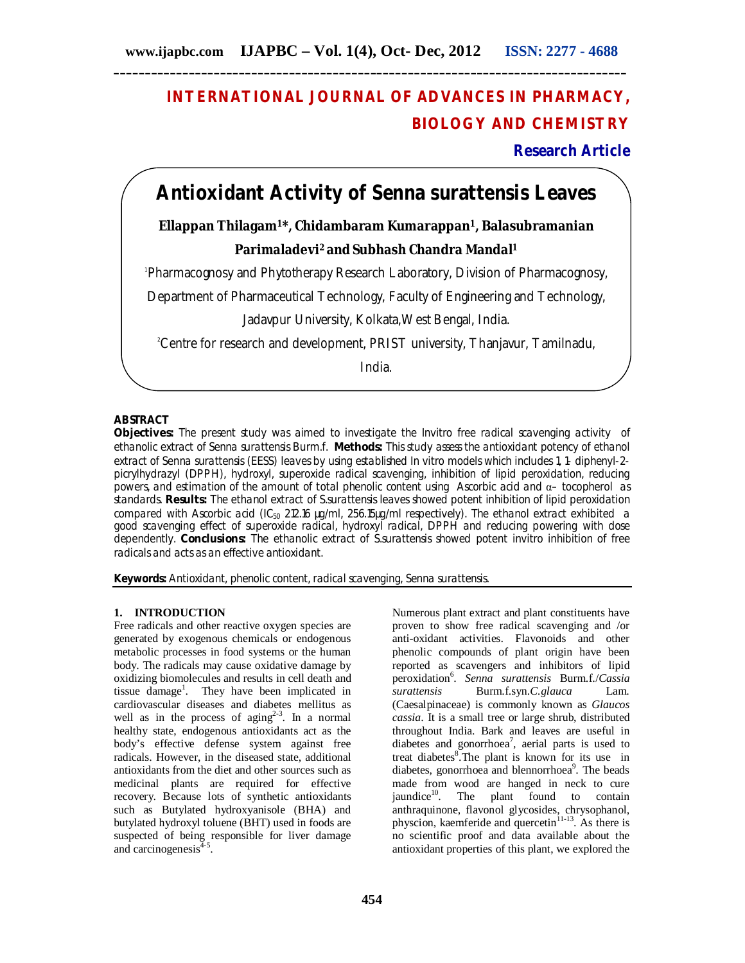## **INTERNATIONAL JOURNAL OF ADVANCES IN PHARMACY, BIOLOGY AND CHEMISTRY**

## **Research Article**

# **Antioxidant Activity of** *Senna surattensis* **Leaves**

**Ellappan Thilagam<sup>1</sup>\*, Chidambaram Kumarappan<sup>1</sup>, Balasubramanian Parimaladevi<sup>2</sup> and Subhash Chandra Mandal<sup>1</sup>** 

1 Pharmacognosy and Phytotherapy Research Laboratory, Division of Pharmacognosy,

Department of Pharmaceutical Technology, Faculty of Engineering and Technology,

Jadavpur University, Kolkata,West Bengal, India.

<sup>2</sup>Centre for research and development, PRIST university, Thanjavur, Tamilnadu,

India.

## **ABSTRACT**

**Objectives:** The present study was aimed to investigate the *Invitro* free radical scavenging activity of ethanolic extract of *Senna surattensis* Burm.f. **Methods:** This study assess the antioxidant potency of ethanol extract of *Senna surattensis* (EESS) leaves by using established *In vitro* models which includes 1, 1- diphenyl-2 picrylhydrazyl (DPPH), hydroxyl, superoxide radical scavenging, inhibition of lipid peroxidation, reducing powers, and estimation of the amount of total phenolic content using Ascorbic acid and α– tocopherol as standards. **Results:** The ethanol extract of *S.surattensis* leaves showed potent inhibition of lipid peroxidation compared with Ascorbic acid (IC<sub>50</sub> 212.16  $\mu q/ml$ , 256.15 $\mu q/ml$  respectively). The ethanol extract exhibited a good scavenging effect of superoxide radical, hydroxyl radical, DPPH and reducing powering with dose dependently. **Conclusions:** The ethanolic extract of *S.surattensis* showed potent *invitro* inhibition of free radicals and acts as an effective antioxidant.

**Keywords:** Antioxidant, phenolic content, radical scavenging, *Senna surattensis*.

#### **1. INTRODUCTION**

Free radicals and other reactive oxygen species are generated by exogenous chemicals or endogenous metabolic processes in food systems or the human body. The radicals may cause oxidative damage by oxidizing biomolecules and results in cell death and tissue damage<sup>1</sup>. They have been implicated in cardiovascular diseases and diabetes mellitus as well as in the process of aging<sup>2-3</sup>. In a normal healthy state, endogenous antioxidants act as the body's effective defense system against free radicals. However, in the diseased state, additional antioxidants from the diet and other sources such as medicinal plants are required for effective recovery. Because lots of synthetic antioxidants such as Butylated hydroxyanisole (BHA) and butylated hydroxyl toluene (BHT) used in foods are suspected of being responsible for liver damage and carcinogenesis $4-5$ .

Numerous plant extract and plant constituents have proven to show free radical scavenging and /or anti-oxidant activities. Flavonoids and other phenolic compounds of plant origin have been reported as scavengers and inhibitors of lipid peroxidation<sup>6</sup> . *Senna surattensis* Burm.f./*Cassia surattensis* Burm.f.syn.*C.glauca* Lam. (Caesalpinaceae) is commonly known as *Glaucos cassia*. It is a small tree or large shrub, distributed throughout India. Bark and leaves are useful in diabetes and gonorrhoea<sup>7</sup>, aerial parts is used to treat diabetes<sup>8</sup>. The plant is known for its use in diabetes, gonorrhoea and blennorrhoea<sup>9</sup>. The beads made from wood are hanged in neck to cure jaundice<sup>10</sup>. The plant found to contain anthraquinone, flavonol glycosides, chrysophanol, physcion, kaemferide and quercetin<sup>11-13</sup>. As there is no scientific proof and data available about the antioxidant properties of this plant, we explored the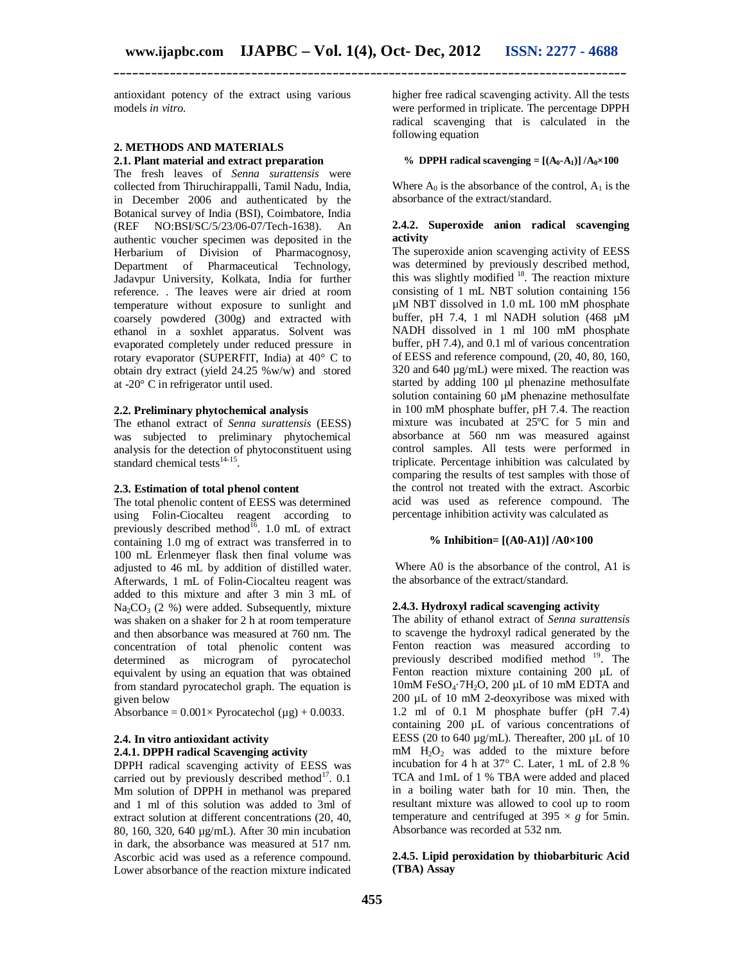antioxidant potency of the extract using various models *in vitro.*

### **2. METHODS AND MATERIALS 2.1. Plant material and extract preparation**

The fresh leaves of *Senna surattensis* were collected from Thiruchirappalli, Tamil Nadu, India, in December 2006 and authenticated by the Botanical survey of India (BSI), Coimbatore, India (REF NO:BSI/SC/5/23/06-07/Tech-1638). An NO:BSI/SC/5/23/06-07/Tech-1638). authentic voucher specimen was deposited in the Herbarium of Division of Pharmacognosy, Department of Pharmaceutical Technology, Jadavpur University, Kolkata, India for further reference. . The leaves were air dried at room temperature without exposure to sunlight and coarsely powdered (300g) and extracted with ethanol in a soxhlet apparatus. Solvent was evaporated completely under reduced pressure in rotary evaporator (SUPERFIT, India) at 40° C to obtain dry extract (yield 24.25 %w/w) and stored at -20° C in refrigerator until used.

#### **2.2. Preliminary phytochemical analysis**

The ethanol extract of *Senna surattensis* (EESS) was subjected to preliminary phytochemical analysis for the detection of phytoconstituent using standard chemical tests $14-15$ .

#### **2.3. Estimation of total phenol content**

The total phenolic content of EESS was determined using Folin-Ciocalteu reagent according to previously described method $^{16}$ . 1.0 mL of extract containing 1.0 mg of extract was transferred in to 100 mL Erlenmeyer flask then final volume was adjusted to 46 mL by addition of distilled water. Afterwards, 1 mL of Folin-Ciocalteu reagent was added to this mixture and after 3 min 3 mL of  $Na_2CO_3$  (2 %) were added. Subsequently, mixture was shaken on a shaker for 2 h at room temperature and then absorbance was measured at 760 nm. The concentration of total phenolic content was determined as microgram of pyrocatechol equivalent by using an equation that was obtained from standard pyrocatechol graph. The equation is given below

Absorbance =  $0.001 \times$  Pyrocatechol ( $\mu$ g) + 0.0033.

## **2.4. In vitro antioxidant activity 2.4.1. DPPH radical Scavenging activity**

DPPH radical scavenging activity of EESS was carried out by previously described method $^{17}$ . 0.1 Mm solution of DPPH in methanol was prepared and 1 ml of this solution was added to 3ml of extract solution at different concentrations (20, 40, 80, 160, 320, 640 µg/mL). After 30 min incubation in dark, the absorbance was measured at 517 nm. Ascorbic acid was used as a reference compound. Lower absorbance of the reaction mixture indicated

higher free radical scavenging activity. All the tests were performed in triplicate. The percentage DPPH radical scavenging that is calculated in the following equation

#### % **DPPH** radical scavenging =  $[(A_0 - A_1)] / A_0 \times 100$

Where  $A_0$  is the absorbance of the control,  $A_1$  is the absorbance of the extract/standard.

#### **2.4.2. Superoxide anion radical scavenging activity**

The superoxide anion scavenging activity of EESS was determined by previously described method, this was slightly modified  $18$ . The reaction mixture consisting of 1 mL NBT solution containing 156 µM NBT dissolved in 1.0 mL 100 mM phosphate buffer, pH 7.4, 1 ml NADH solution (468 µM NADH dissolved in 1 ml 100 mM phosphate buffer, pH 7.4), and 0.1 ml of various concentration of EESS and reference compound, (20, 40, 80, 160, 320 and 640 µg/mL) were mixed. The reaction was started by adding 100 µl phenazine methosulfate solution containing  $60 \mu M$  phenazine methosulfate in 100 mM phosphate buffer, pH 7.4. The reaction mixture was incubated at 25ºC for 5 min and absorbance at 560 nm was measured against control samples. All tests were performed in triplicate. Percentage inhibition was calculated by comparing the results of test samples with those of the control not treated with the extract. Ascorbic acid was used as reference compound. The percentage inhibition activity was calculated as

### **% Inhibition= [(A0-A1)] /A0×100**

Where A0 is the absorbance of the control, A1 is the absorbance of the extract/standard.

#### **2.4.3. Hydroxyl radical scavenging activity**

The ability of ethanol extract of *Senna surattensis* to scavenge the hydroxyl radical generated by the Fenton reaction was measured according to previously described modified method  $19$ . The Fenton reaction mixture containing 200 µL of 10mM FeSO<sub>4</sub> $\cdot$ 7H<sub>2</sub>O, 200 µL of 10 mM EDTA and 200 µL of 10 mM 2-deoxyribose was mixed with 1.2 ml of 0.1 M phosphate buffer (pH 7.4) containing 200 µL of various concentrations of EESS (20 to 640  $\mu$ g/mL). Thereafter, 200  $\mu$ L of 10  $mM$  H<sub>2</sub>O<sub>2</sub> was added to the mixture before incubation for 4 h at 37° C. Later, 1 mL of 2.8 % TCA and 1mL of 1 % TBA were added and placed in a boiling water bath for 10 min. Then, the resultant mixture was allowed to cool up to room temperature and centrifuged at  $395 \times g$  for 5min. Absorbance was recorded at 532 nm.

#### **2.4.5. Lipid peroxidation by thiobarbituric Acid (TBA) Assay**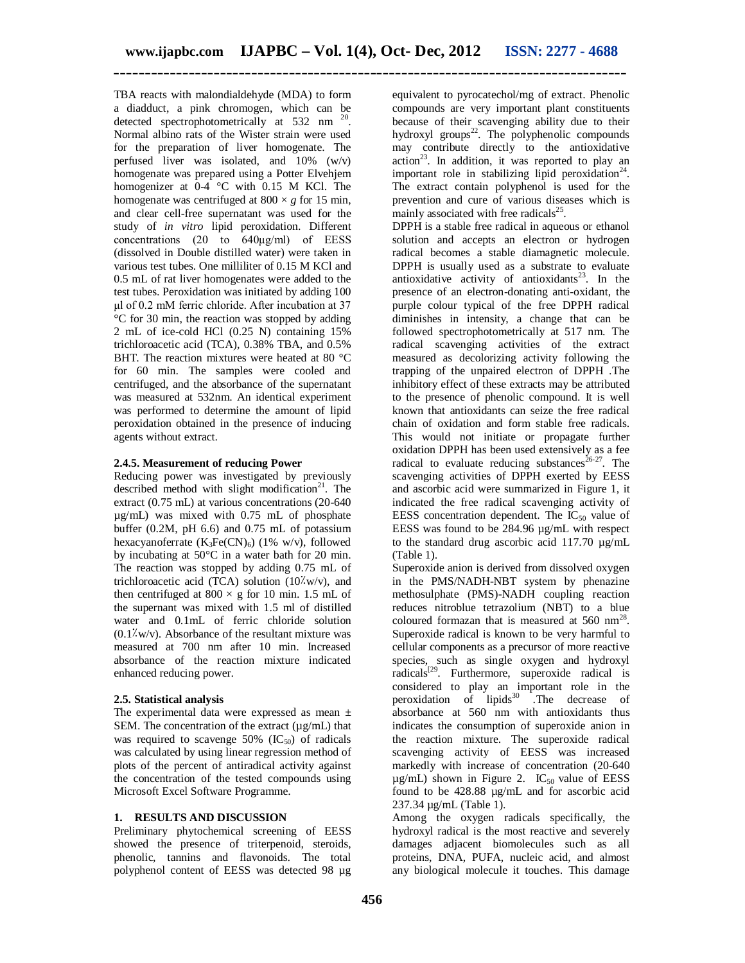TBA reacts with malondialdehyde (MDA) to form a diadduct, a pink chromogen, which can be detected spectrophotometrically at 532 nm<sup>20</sup>. Normal albino rats of the Wister strain were used for the preparation of liver homogenate. The perfused liver was isolated, and  $10\%$  (w/v) homogenate was prepared using a Potter Elvehjem homogenizer at  $0-4$  °C with 0.15 M KCl. The homogenate was centrifuged at  $800 \times g$  for 15 min, and clear cell-free supernatant was used for the study of *in vitro* lipid peroxidation. Different concentrations (20 to 640μg/ml) of EESS (dissolved in Double distilled water) were taken in various test tubes. One milliliter of 0.15 M KCl and 0.5 mL of rat liver homogenates were added to the test tubes. Peroxidation was initiated by adding 100 μl of 0.2 mM ferric chloride. After incubation at 37 °C for 30 min, the reaction was stopped by adding 2 mL of ice-cold HCl (0.25 N) containing 15% trichloroacetic acid (TCA), 0.38% TBA, and 0.5% BHT. The reaction mixtures were heated at 80 °C. for 60 min. The samples were cooled and centrifuged, and the absorbance of the supernatant was measured at 532nm. An identical experiment was performed to determine the amount of lipid peroxidation obtained in the presence of inducing agents without extract.

## **2.4.5. Measurement of reducing Power**

Reducing power was investigated by previously described method with slight modification $21$ . The extract (0.75 mL) at various concentrations (20-640 µg/mL) was mixed with 0.75 mL of phosphate buffer (0.2M, pH 6.6) and 0.75 mL of potassium hexacyanoferrate  $(K_3Fe(CN)_6)$  (1% w/v), followed by incubating at 50°C in a water bath for 20 min. The reaction was stopped by adding 0.75 mL of trichloroacetic acid (TCA) solution  $(10\text{W/v})$ , and then centrifuged at  $800 \times g$  for 10 min. 1.5 mL of the supernant was mixed with 1.5 ml of distilled water and 0.1mL of ferric chloride solution  $(0.1\text{W/v})$ . Absorbance of the resultant mixture was measured at 700 nm after 10 min. Increased absorbance of the reaction mixture indicated enhanced reducing power.

## **2.5. Statistical analysis**

The experimental data were expressed as mean  $\pm$ SEM. The concentration of the extract  $(\mu g/mL)$  that was required to scavenge  $50\%$  (IC<sub>50</sub>) of radicals was calculated by using linear regression method of plots of the percent of antiradical activity against the concentration of the tested compounds using Microsoft Excel Software Programme.

## **1. RESULTS AND DISCUSSION**

Preliminary phytochemical screening of EESS showed the presence of triterpenoid, steroids, phenolic, tannins and flavonoids. The total polyphenol content of EESS was detected 98 µg

equivalent to pyrocatechol/mg of extract. Phenolic compounds are very important plant constituents because of their scavenging ability due to their hydroxyl groups $22$ . The polyphenolic compounds may contribute directly to the antioxidative  $\arcsin^{23}$ . In addition, it was reported to play an important role in stabilizing lipid peroxidation<sup>24</sup>. The extract contain polyphenol is used for the prevention and cure of various diseases which is mainly associated with free radicals $25$ .

DPPH is a stable free radical in aqueous or ethanol solution and accepts an electron or hydrogen radical becomes a stable diamagnetic molecule. DPPH is usually used as a substrate to evaluate antioxidative activity of antioxidants<sup>23</sup>. In the presence of an electron-donating anti-oxidant, the purple colour typical of the free DPPH radical diminishes in intensity, a change that can be followed spectrophotometrically at 517 nm. The radical scavenging activities of the extract measured as decolorizing activity following the trapping of the unpaired electron of DPPH .The inhibitory effect of these extracts may be attributed to the presence of phenolic compound. It is well known that antioxidants can seize the free radical chain of oxidation and form stable free radicals. This would not initiate or propagate further oxidation DPPH has been used extensively as a fee radical to evaluate reducing substances<sup>26-27</sup>. The scavenging activities of DPPH exerted by EESS and ascorbic acid were summarized in Figure 1, it indicated the free radical scavenging activity of EESS concentration dependent. The  $IC_{50}$  value of EESS was found to be 284.96 µg/mL with respect to the standard drug ascorbic acid 117.70  $\mu$ g/mL (Table 1).

Superoxide anion is derived from dissolved oxygen in the PMS/NADH-NBT system by phenazine methosulphate (PMS)-NADH coupling reaction reduces nitroblue tetrazolium (NBT) to a blue coloured formazan that is measured at  $560 \text{ nm}^{28}$ . Superoxide radical is known to be very harmful to cellular components as a precursor of more reactive species, such as single oxygen and hydroxyl radicals<sup>[29</sup>. Furthermore, superoxide radical is considered to play an important role in the peroxidation of lipids $30$  . The decrease of absorbance at 560 nm with antioxidants thus indicates the consumption of superoxide anion in the reaction mixture. The superoxide radical scavenging activity of EESS was increased markedly with increase of concentration (20-640  $\mu$ g/mL) shown in Figure 2. IC<sub>50</sub> value of EESS found to be 428.88 µg/mL and for ascorbic acid 237.34 µg/mL (Table 1).

Among the oxygen radicals specifically, the hydroxyl radical is the most reactive and severely damages adjacent biomolecules such as all proteins, DNA, PUFA, nucleic acid, and almost any biological molecule it touches. This damage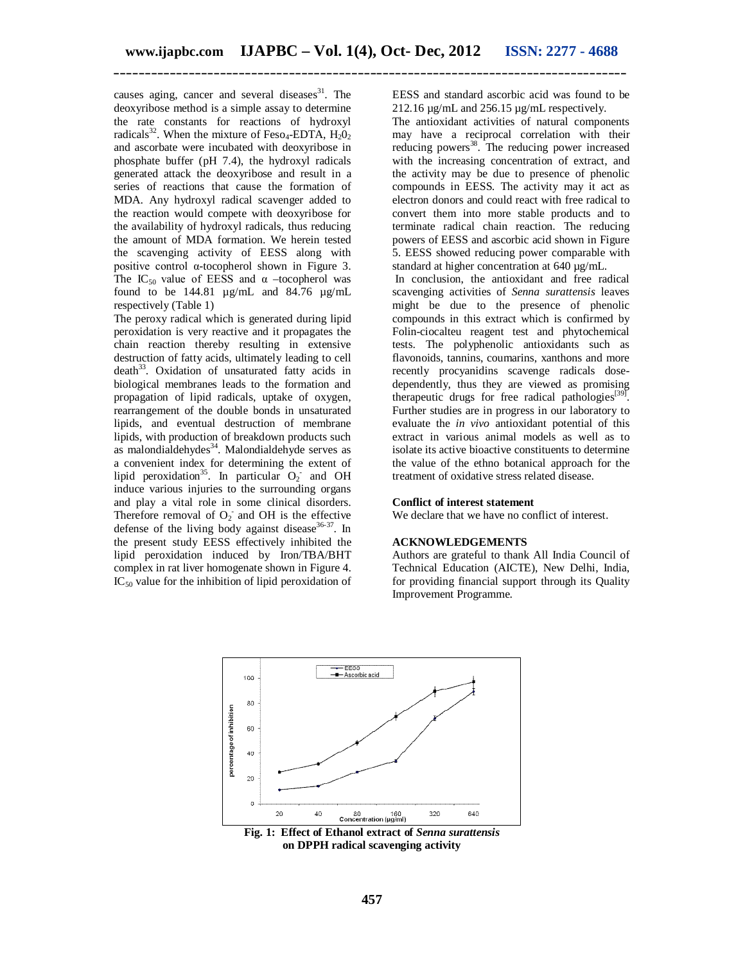causes aging, cancer and several diseases $31$ . The deoxyribose method is a simple assay to determine the rate constants for reactions of hydroxyl radicals<sup>32</sup>. When the mixture of Feso<sub>4</sub>-EDTA,  $H_2O_2$ and ascorbate were incubated with deoxyribose in phosphate buffer (pH 7.4), the hydroxyl radicals generated attack the deoxyribose and result in a series of reactions that cause the formation of MDA. Any hydroxyl radical scavenger added to the reaction would compete with deoxyribose for the availability of hydroxyl radicals, thus reducing the amount of MDA formation. We herein tested the scavenging activity of EESS along with positive control α-tocopherol shown in Figure 3. The IC<sub>50</sub> value of EESS and  $\alpha$  –tocopherol was found to be 144.81  $\mu$ g/mL and 84.76  $\mu$ g/mL respectively (Table 1)

The peroxy radical which is generated during lipid peroxidation is very reactive and it propagates the chain reaction thereby resulting in extensive destruction of fatty acids, ultimately leading to cell death<sup>33</sup>. Oxidation of unsaturated fatty acids in biological membranes leads to the formation and propagation of lipid radicals, uptake of oxygen, rearrangement of the double bonds in unsaturated lipids, and eventual destruction of membrane lipids, with production of breakdown products such as malondialdehydes<sup>34</sup>. Malondialdehyde serves as a convenient index for determining the extent of lipid peroxidation<sup>35</sup>. In particular  $O_2$  and OH induce various injuries to the surrounding organs and play a vital role in some clinical disorders. Therefore removal of  $O_2$  and OH is the effective defense of the living body against disease  $36-37$ . In the present study EESS effectively inhibited the lipid peroxidation induced by Iron/TBA/BHT complex in rat liver homogenate shown in Figure 4.  $IC_{50}$  value for the inhibition of lipid peroxidation of EESS and standard ascorbic acid was found to be 212.16 µg/mL and 256.15 µg/mL respectively.

The antioxidant activities of natural components may have a reciprocal correlation with their reducing powers<sup>38</sup>. The reducing power increased with the increasing concentration of extract, and the activity may be due to presence of phenolic compounds in EESS. The activity may it act as electron donors and could react with free radical to convert them into more stable products and to terminate radical chain reaction. The reducing powers of EESS and ascorbic acid shown in Figure 5. EESS showed reducing power comparable with standard at higher concentration at 640 µg/mL.

In conclusion, the antioxidant and free radical scavenging activities of *Senna surattensis* leaves might be due to the presence of phenolic compounds in this extract which is confirmed by Folin-ciocalteu reagent test and phytochemical tests. The polyphenolic antioxidants such as flavonoids, tannins, coumarins, xanthons and more recently procyanidins scavenge radicals dosedependently, thus they are viewed as promising therapeutic drugs for free radical pathologies<sup>[39]</sup>. Further studies are in progress in our laboratory to evaluate the *in vivo* antioxidant potential of this extract in various animal models as well as to isolate its active bioactive constituents to determine the value of the ethno botanical approach for the treatment of oxidative stress related disease.

#### **Conflict of interest statement**

We declare that we have no conflict of interest.

#### **ACKNOWLEDGEMENTS**

Authors are grateful to thank All India Council of Technical Education (AICTE), New Delhi, India, for providing financial support through its Quality Improvement Programme.



**Fig. 1:****Effect of Ethanol extract of** *Senna surattensis* **on DPPH radical scavenging activity**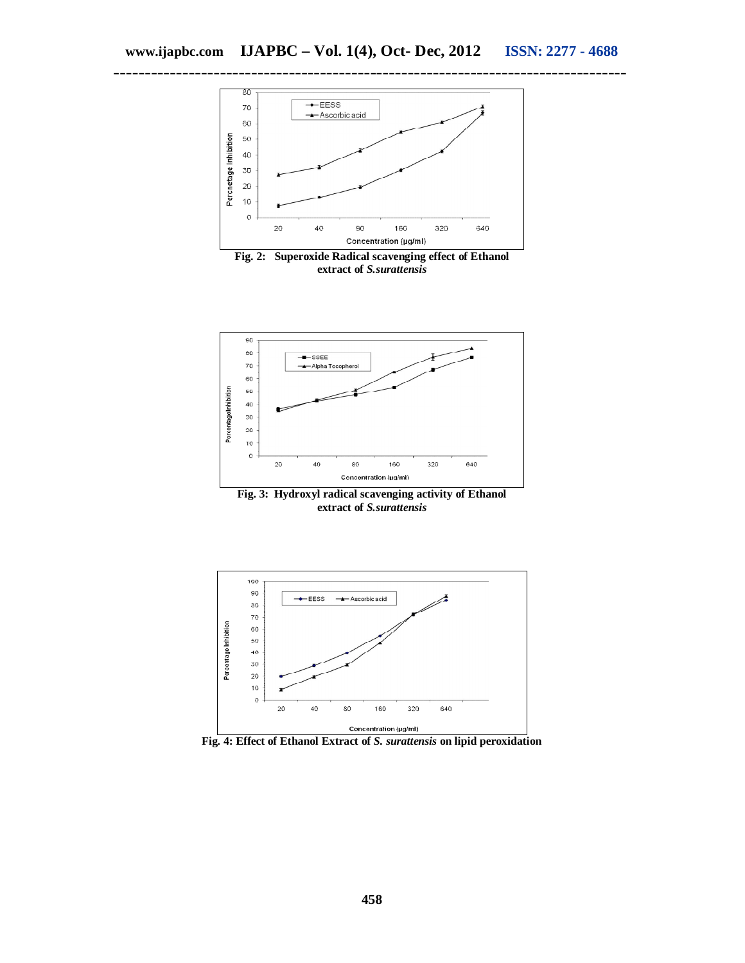

**extract of** *S.surattensis*



**Fig. 3: Hydroxyl radical scavenging activity of Ethanol extract of** *S.surattensis*



**Fig. 4: Effect of Ethanol Extract of** *S. surattensis* **on lipid peroxidation**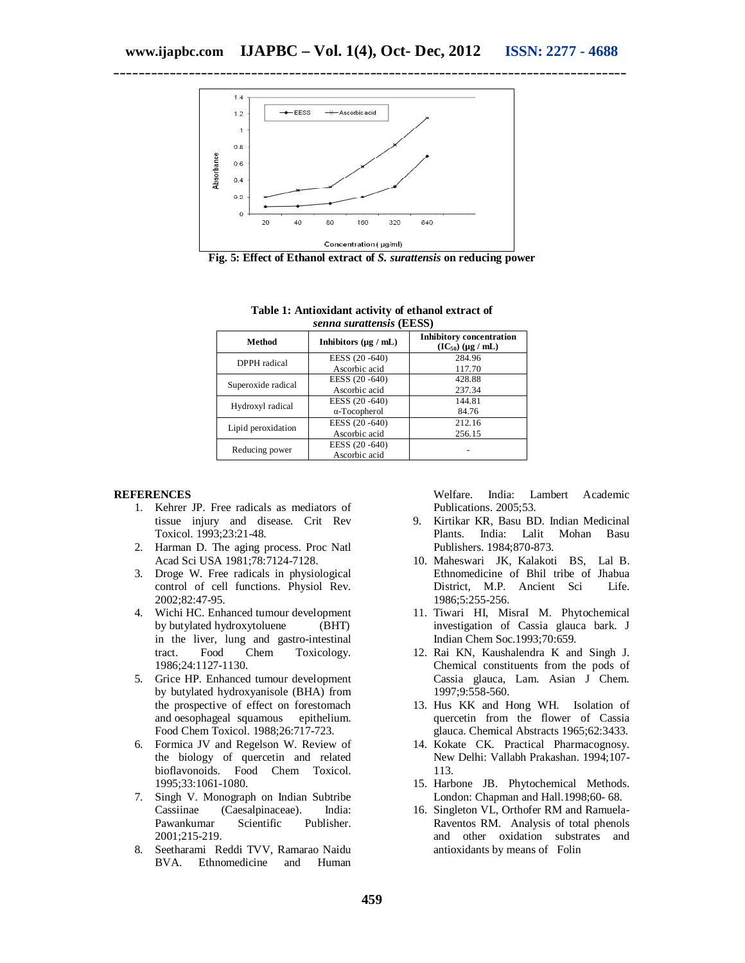

**Fig. 5: Effect of Ethanol extract of** *S. surattensis* **on reducing power**

| Method             | Inhibitors $(\mu g / mL)$ | <b>Inhibitory concentration</b><br>$(IC_{50}) (\mu g / mL)$ |
|--------------------|---------------------------|-------------------------------------------------------------|
| DPPH radical       | EESS (20 -640)            | 284.96                                                      |
|                    | Ascorbic acid             | 117.70                                                      |
| Superoxide radical | EESS (20 - 640)           | 428.88                                                      |
|                    | Ascorbic acid             | 237.34                                                      |
| Hydroxyl radical   | EESS (20 - 640)           | 144.81                                                      |
|                    | $\alpha$ -Tocopherol      | 84.76                                                       |
| Lipid peroxidation | EESS (20 - 640)           | 212.16                                                      |
|                    | Ascorbic acid             | 256.15                                                      |
| Reducing power     | EESS (20 - 640)           |                                                             |
|                    | Ascorbic acid             |                                                             |

#### **Table 1: Antioxidant activity of ethanol extract of** *senna surattensis* **(EESS)**

### **REFERENCES**

- 1. Kehrer JP. Free radicals as mediators of tissue injury and disease. Crit Rev Toxicol. 1993;23:21-48.
- 2. Harman D. The aging process. Proc Natl Acad Sci USA 1981;78:7124-7128.
- 3. Droge W. Free radicals in physiological control of cell functions. Physiol Rev. 2002;82:47-95.
- 4. Wichi HC. Enhanced tumour development by butylated hydroxytoluene (BHT) in the liver, lung and gastro-intestinal tract. Food Chem Toxicology. 1986;24:1127-1130.
- 5. Grice HP. Enhanced tumour development by butylated hydroxyanisole (BHA) from the prospective of effect on forestomach and oesophageal squamous epithelium. Food Chem Toxicol. 1988;26:717-723.
- 6. Formica JV and Regelson W. Review of the biology of quercetin and related bioflavonoids. Food Chem Toxicol. 1995;33:1061-1080.
- 7. Singh V. Monograph on Indian Subtribe<br>Cassiinae (Caesalpinaceae). India: (Caesalpinaceae). India:<br>Scientific Publisher. Pawankumar 2001;215-219.
- 8. Seetharami Reddi TVV, Ramarao Naidu BVA. Ethnomedicine and Human

Welfare. India: Lambert Academic Publications. 2005;53.

- 9. Kirtikar KR, Basu BD. Indian Medicinal Lalit Mohan Basu Publishers. 1984;870-873.
- 10. Maheswari JK, Kalakoti BS, Lal B. Ethnomedicine of Bhil tribe of Jhabua District, M.P. Ancient Sci Life. 1986;5:255-256.
- 11. Tiwari HI, MisraI M. Phytochemical investigation of Cassia glauca bark. J Indian Chem Soc.1993;70:659.
- 12. Rai KN, Kaushalendra K and Singh J. Chemical constituents from the pods of Cassia glauca, Lam. Asian J Chem. 1997;9:558-560.
- 13. Hus KK and Hong WH. Isolation of quercetin from the flower of Cassia glauca. Chemical Abstracts 1965;62:3433.
- 14. Kokate CK. Practical Pharmacognosy. New Delhi: Vallabh Prakashan. 1994;107- 113.
- 15. Harbone JB. Phytochemical Methods. London: Chapman and Hall.1998;60- 68.
- 16. Singleton VL, Orthofer RM and Ramuela-Raventos RM. Analysis of total phenols and other oxidation substrates and antioxidants by means of Folin